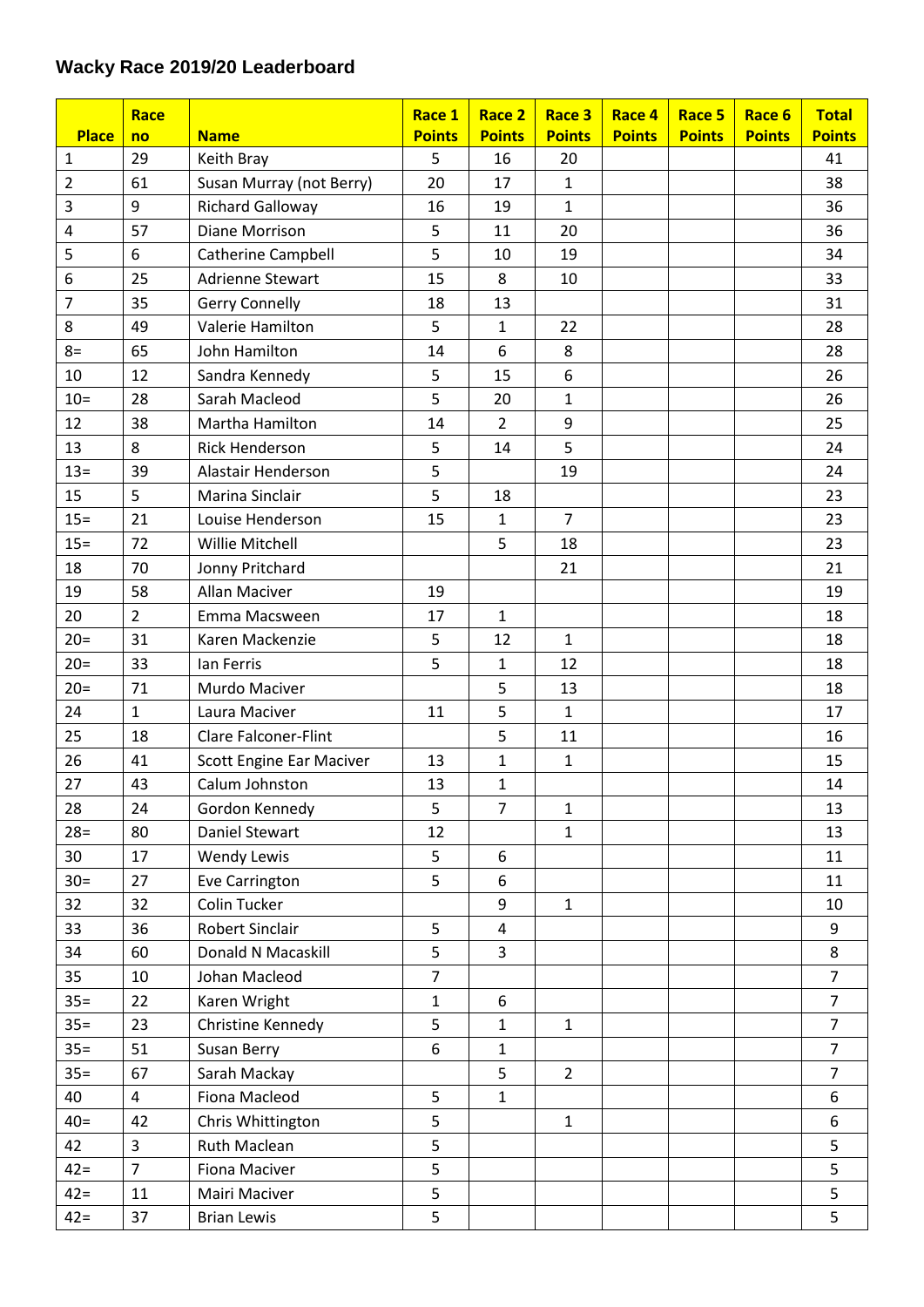## **Wacky Race 2019/20 Leaderboard**

| <b>Place</b> | Race                    |                             | Race 1<br><b>Points</b> | Race 2<br><b>Points</b> | Race 3<br><b>Points</b> | Race 4<br><b>Points</b> | Race 5<br><b>Points</b> | Race 6<br><b>Points</b> | <b>Total</b><br><b>Points</b> |
|--------------|-------------------------|-----------------------------|-------------------------|-------------------------|-------------------------|-------------------------|-------------------------|-------------------------|-------------------------------|
| 1            | no<br>29                | <b>Name</b><br>Keith Bray   | 5                       | 16                      | 20                      |                         |                         |                         | 41                            |
| 2            | 61                      | Susan Murray (not Berry)    | 20                      | 17                      | $\mathbf{1}$            |                         |                         |                         | 38                            |
| 3            | 9                       | <b>Richard Galloway</b>     | 16                      | 19                      | $\mathbf{1}$            |                         |                         |                         | 36                            |
| 4            | 57                      | Diane Morrison              | 5                       | 11                      | 20                      |                         |                         |                         | 36                            |
| 5            | 6                       | <b>Catherine Campbell</b>   | 5                       | 10                      | 19                      |                         |                         |                         | 34                            |
| 6            | 25                      | <b>Adrienne Stewart</b>     | 15                      | 8                       | 10                      |                         |                         |                         | 33                            |
| 7            | 35                      | <b>Gerry Connelly</b>       | 18                      | 13                      |                         |                         |                         |                         | 31                            |
| 8            | 49                      | Valerie Hamilton            | 5                       | $\mathbf{1}$            | 22                      |                         |                         |                         | 28                            |
| $8=$         | 65                      | John Hamilton               | 14                      | 6                       | 8                       |                         |                         |                         | 28                            |
| 10           | 12                      | Sandra Kennedy              | 5                       | 15                      | 6                       |                         |                         |                         | 26                            |
| $10=$        | 28                      | Sarah Macleod               | 5                       | 20                      | $\mathbf{1}$            |                         |                         |                         | 26                            |
| 12           | 38                      | Martha Hamilton             | 14                      | $\overline{2}$          | 9                       |                         |                         |                         | 25                            |
| 13           | 8                       | <b>Rick Henderson</b>       | 5                       | 14                      | 5                       |                         |                         |                         | 24                            |
| $13 =$       | 39                      | Alastair Henderson          | 5                       |                         | 19                      |                         |                         |                         | 24                            |
| 15           | 5                       | Marina Sinclair             | 5                       | 18                      |                         |                         |                         |                         | 23                            |
| $15 =$       | 21                      | Louise Henderson            | 15                      | $\mathbf 1$             | $\overline{7}$          |                         |                         |                         | 23                            |
| $15 =$       | 72                      | Willie Mitchell             |                         | 5                       | 18                      |                         |                         |                         | 23                            |
| 18           | 70                      | Jonny Pritchard             |                         |                         | 21                      |                         |                         |                         | 21                            |
| 19           | 58                      | Allan Maciver               | 19                      |                         |                         |                         |                         |                         | 19                            |
| 20           | $\overline{2}$          | Emma Macsween               | 17                      | $\mathbf{1}$            |                         |                         |                         |                         | 18                            |
| $20=$        | 31                      | Karen Mackenzie             | 5                       | 12                      | $\mathbf{1}$            |                         |                         |                         | 18                            |
| $20=$        | 33                      | Ian Ferris                  | 5                       | $\mathbf{1}$            | 12                      |                         |                         |                         | 18                            |
| $20=$        | 71                      | Murdo Maciver               |                         | 5                       | 13                      |                         |                         |                         | 18                            |
| 24           | $\mathbf{1}$            | Laura Maciver               | 11                      | 5                       | $\mathbf{1}$            |                         |                         |                         | 17                            |
| 25           | 18                      | <b>Clare Falconer-Flint</b> |                         | 5                       | 11                      |                         |                         |                         | 16                            |
| 26           | 41                      | Scott Engine Ear Maciver    | 13                      | $\mathbf{1}$            | $\mathbf{1}$            |                         |                         |                         | 15                            |
| 27           | 43                      | Calum Johnston              | 13                      | $\mathbf{1}$            |                         |                         |                         |                         | 14                            |
| 28           | 24                      | Gordon Kennedy              | 5                       | $\overline{7}$          | $\mathbf{1}$            |                         |                         |                         | 13                            |
| $28=$        | 80                      | <b>Daniel Stewart</b>       | 12                      |                         | $\mathbf{1}$            |                         |                         |                         | 13                            |
| 30           | 17                      | <b>Wendy Lewis</b>          | 5                       | 6                       |                         |                         |                         |                         | 11                            |
| $30=$        | 27                      | Eve Carrington              | 5                       | 6                       |                         |                         |                         |                         | 11                            |
| 32           | 32                      | Colin Tucker                |                         | 9                       | $\mathbf{1}$            |                         |                         |                         | 10                            |
| 33           | 36                      | Robert Sinclair             | 5                       | 4                       |                         |                         |                         |                         | 9                             |
| 34           | 60                      | Donald N Macaskill          | 5                       | $\overline{3}$          |                         |                         |                         |                         | 8                             |
| 35           | 10                      | Johan Macleod               | $\overline{7}$          |                         |                         |                         |                         |                         | $\overline{7}$                |
| $35 =$       | 22                      | Karen Wright                | $\mathbf{1}$            | 6                       |                         |                         |                         |                         | $\overline{7}$                |
| $35 =$       | 23                      | Christine Kennedy           | 5                       | $\mathbf{1}$            | $\mathbf{1}$            |                         |                         |                         | $\overline{7}$                |
| $35 =$       | 51                      | Susan Berry                 | 6                       | $\mathbf{1}$            |                         |                         |                         |                         | $\overline{7}$                |
| $35 =$       | 67                      | Sarah Mackay                |                         | 5                       | $\overline{2}$          |                         |                         |                         | $\overline{7}$                |
| 40           | $\overline{\mathbf{4}}$ | Fiona Macleod               | 5                       | $\mathbf{1}$            |                         |                         |                         |                         | 6                             |
| $40=$        | 42                      | Chris Whittington           | 5                       |                         | $\mathbf{1}$            |                         |                         |                         | 6                             |
| 42           | 3                       | Ruth Maclean                | 5                       |                         |                         |                         |                         |                         | 5                             |
| $42 =$       | $\overline{7}$          | Fiona Maciver               | 5                       |                         |                         |                         |                         |                         | 5                             |
| $42 =$       | 11                      | Mairi Maciver               | 5                       |                         |                         |                         |                         |                         | 5                             |
| $42 =$       | 37                      | <b>Brian Lewis</b>          | 5                       |                         |                         |                         |                         |                         | 5                             |